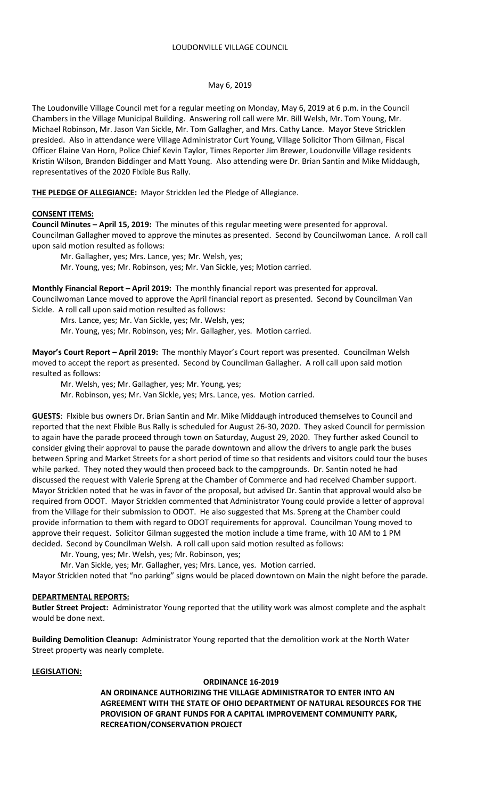### May 6, 2019

The Loudonville Village Council met for a regular meeting on Monday, May 6, 2019 at 6 p.m. in the Council Chambers in the Village Municipal Building. Answering roll call were Mr. Bill Welsh, Mr. Tom Young, Mr. Michael Robinson, Mr. Jason Van Sickle, Mr. Tom Gallagher, and Mrs. Cathy Lance. Mayor Steve Stricklen presided. Also in attendance were Village Administrator Curt Young, Village Solicitor Thom Gilman, Fiscal Officer Elaine Van Horn, Police Chief Kevin Taylor, Times Reporter Jim Brewer, Loudonville Village residents Kristin Wilson, Brandon Biddinger and Matt Young. Also attending were Dr. Brian Santin and Mike Middaugh, representatives of the 2020 Flxible Bus Rally.

**THE PLEDGE OF ALLEGIANCE:** Mayor Stricklen led the Pledge of Allegiance.

# **CONSENT ITEMS:**

**Council Minutes – April 15, 2019:** The minutes of this regular meeting were presented for approval. Councilman Gallagher moved to approve the minutes as presented. Second by Councilwoman Lance. A roll call upon said motion resulted as follows:

Mr. Gallagher, yes; Mrs. Lance, yes; Mr. Welsh, yes; Mr. Young, yes; Mr. Robinson, yes; Mr. Van Sickle, yes; Motion carried.

**Monthly Financial Report – April 2019:** The monthly financial report was presented for approval. Councilwoman Lance moved to approve the April financial report as presented. Second by Councilman Van Sickle. A roll call upon said motion resulted as follows:

Mrs. Lance, yes; Mr. Van Sickle, yes; Mr. Welsh, yes;

Mr. Young, yes; Mr. Robinson, yes; Mr. Gallagher, yes. Motion carried.

**Mayor's Court Report – April 2019:** The monthly Mayor's Court report was presented. Councilman Welsh moved to accept the report as presented. Second by Councilman Gallagher. A roll call upon said motion resulted as follows:

Mr. Welsh, yes; Mr. Gallagher, yes; Mr. Young, yes;

Mr. Robinson, yes; Mr. Van Sickle, yes; Mrs. Lance, yes. Motion carried.

**GUESTS**: Flxible bus owners Dr. Brian Santin and Mr. Mike Middaugh introduced themselves to Council and reported that the next Flxible Bus Rally is scheduled for August 26-30, 2020. They asked Council for permission to again have the parade proceed through town on Saturday, August 29, 2020. They further asked Council to consider giving their approval to pause the parade downtown and allow the drivers to angle park the buses between Spring and Market Streets for a short period of time so that residents and visitors could tour the buses while parked. They noted they would then proceed back to the campgrounds. Dr. Santin noted he had discussed the request with Valerie Spreng at the Chamber of Commerce and had received Chamber support. Mayor Stricklen noted that he was in favor of the proposal, but advised Dr. Santin that approval would also be required from ODOT. Mayor Stricklen commented that Administrator Young could provide a letter of approval from the Village for their submission to ODOT. He also suggested that Ms. Spreng at the Chamber could provide information to them with regard to ODOT requirements for approval. Councilman Young moved to approve their request. Solicitor Gilman suggested the motion include a time frame, with 10 AM to 1 PM decided. Second by Councilman Welsh. A roll call upon said motion resulted as follows:

Mr. Young, yes; Mr. Welsh, yes; Mr. Robinson, yes;

Mr. Van Sickle, yes; Mr. Gallagher, yes; Mrs. Lance, yes. Motion carried.

Mayor Stricklen noted that "no parking" signs would be placed downtown on Main the night before the parade.

### **DEPARTMENTAL REPORTS:**

**Butler Street Project:** Administrator Young reported that the utility work was almost complete and the asphalt would be done next.

**Building Demolition Cleanup:** Administrator Young reported that the demolition work at the North Water Street property was nearly complete.

### **LEGISLATION:**

# **ORDINANCE 16-2019**

**AN ORDINANCE AUTHORIZING THE VILLAGE ADMINISTRATOR TO ENTER INTO AN AGREEMENT WITH THE STATE OF OHIO DEPARTMENT OF NATURAL RESOURCES FOR THE PROVISION OF GRANT FUNDS FOR A CAPITAL IMPROVEMENT COMMUNITY PARK, RECREATION/CONSERVATION PROJECT**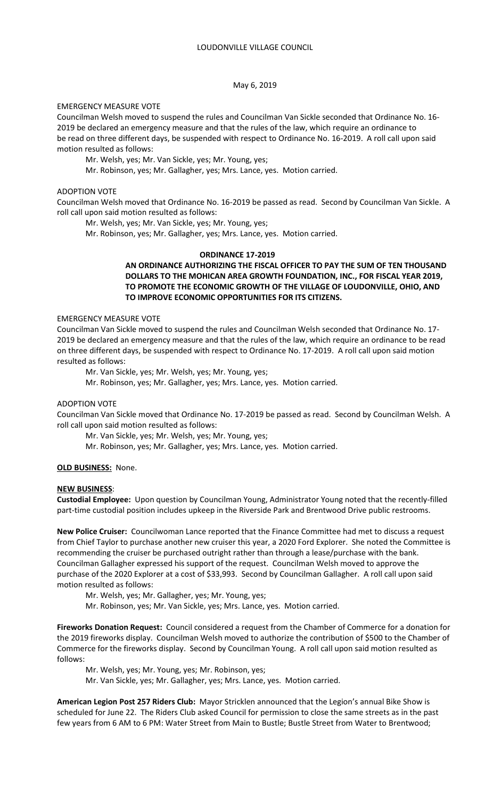May 6, 2019

### EMERGENCY MEASURE VOTE

Councilman Welsh moved to suspend the rules and Councilman Van Sickle seconded that Ordinance No. 16- 2019 be declared an emergency measure and that the rules of the law, which require an ordinance to be read on three different days, be suspended with respect to Ordinance No. 16-2019. A roll call upon said motion resulted as follows:

Mr. Welsh, yes; Mr. Van Sickle, yes; Mr. Young, yes;

Mr. Robinson, yes; Mr. Gallagher, yes; Mrs. Lance, yes. Motion carried.

### ADOPTION VOTE

Councilman Welsh moved that Ordinance No. 16-2019 be passed as read. Second by Councilman Van Sickle. A roll call upon said motion resulted as follows:

Mr. Welsh, yes; Mr. Van Sickle, yes; Mr. Young, yes;

Mr. Robinson, yes; Mr. Gallagher, yes; Mrs. Lance, yes. Motion carried.

### **ORDINANCE 17-2019**

# **AN ORDINANCE AUTHORIZING THE FISCAL OFFICER TO PAY THE SUM OF TEN THOUSAND DOLLARS TO THE MOHICAN AREA GROWTH FOUNDATION, INC., FOR FISCAL YEAR 2019, TO PROMOTE THE ECONOMIC GROWTH OF THE VILLAGE OF LOUDONVILLE, OHIO, AND TO IMPROVE ECONOMIC OPPORTUNITIES FOR ITS CITIZENS.**

## EMERGENCY MEASURE VOTE

Councilman Van Sickle moved to suspend the rules and Councilman Welsh seconded that Ordinance No. 17- 2019 be declared an emergency measure and that the rules of the law, which require an ordinance to be read on three different days, be suspended with respect to Ordinance No. 17-2019. A roll call upon said motion resulted as follows:

Mr. Van Sickle, yes; Mr. Welsh, yes; Mr. Young, yes;

Mr. Robinson, yes; Mr. Gallagher, yes; Mrs. Lance, yes. Motion carried.

### ADOPTION VOTE

Councilman Van Sickle moved that Ordinance No. 17-2019 be passed as read. Second by Councilman Welsh. A roll call upon said motion resulted as follows:

Mr. Van Sickle, yes; Mr. Welsh, yes; Mr. Young, yes;

Mr. Robinson, yes; Mr. Gallagher, yes; Mrs. Lance, yes. Motion carried.

#### **OLD BUSINESS:** None.

#### **NEW BUSINESS**:

**Custodial Employee:** Upon question by Councilman Young, Administrator Young noted that the recently-filled part-time custodial position includes upkeep in the Riverside Park and Brentwood Drive public restrooms.

**New Police Cruiser:** Councilwoman Lance reported that the Finance Committee had met to discuss a request from Chief Taylor to purchase another new cruiser this year, a 2020 Ford Explorer. She noted the Committee is recommending the cruiser be purchased outright rather than through a lease/purchase with the bank. Councilman Gallagher expressed his support of the request. Councilman Welsh moved to approve the purchase of the 2020 Explorer at a cost of \$33,993. Second by Councilman Gallagher. A roll call upon said motion resulted as follows:

Mr. Welsh, yes; Mr. Gallagher, yes; Mr. Young, yes;

Mr. Robinson, yes; Mr. Van Sickle, yes; Mrs. Lance, yes. Motion carried.

**Fireworks Donation Request:** Council considered a request from the Chamber of Commerce for a donation for the 2019 fireworks display. Councilman Welsh moved to authorize the contribution of \$500 to the Chamber of Commerce for the fireworks display. Second by Councilman Young. A roll call upon said motion resulted as follows:

Mr. Welsh, yes; Mr. Young, yes; Mr. Robinson, yes;

Mr. Van Sickle, yes; Mr. Gallagher, yes; Mrs. Lance, yes. Motion carried.

**American Legion Post 257 Riders Club:** Mayor Stricklen announced that the Legion's annual Bike Show is scheduled for June 22. The Riders Club asked Council for permission to close the same streets as in the past few years from 6 AM to 6 PM: Water Street from Main to Bustle; Bustle Street from Water to Brentwood;